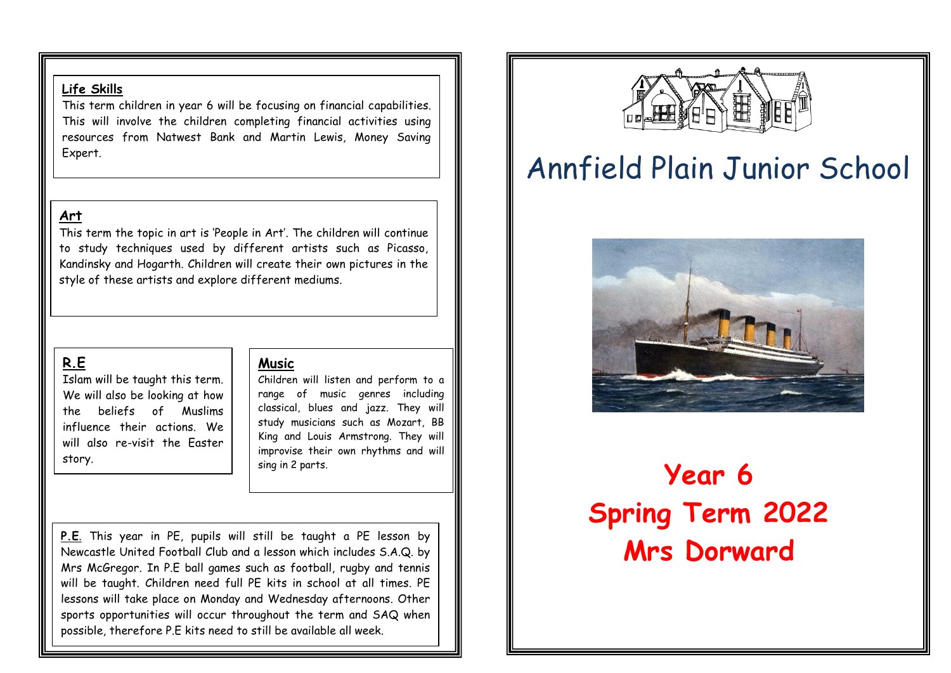### **Life Skills**

This term children in year 6 will be focusing on financial capabilities. This will involve the children completing financial activities using resources from Natwest Bank and Martin Lewis, Money Saving Expert.

## **Art**

This term the topic in art is 'People in Art'. The children will continue to study techniques used by different artists such as Picasso, Kandinsky and Hogarth. Children will create their own pictures in the style of these artists and explore different mediums.

## **R.E**

Islam will be taught this term. We will also be looking at how the beliefs of Muslims influence their actions. We will also re-visit the Easter story.

### **Music**

Children will listen and perform to a range of music genres including classical, blues and jazz. They will study musicians such as Mozart, BB King and Louis Armstrong. They will improvise their own rhythms and will sing in 2 parts.

**P.E**. This year in PE, pupils will still be taught a PE lesson by Newcastle United Football Club and a lesson which includes S.A.Q. by Mrs McGregor. In P.E ball games such as football, rugby and tennis will be taught. Children need full PE kits in school at all times. PE lessons will take place on Monday and Wednesday afternoons. Other sports opportunities will occur throughout the term and SAQ when possible, therefore P.E kits need to still be available all week.



# Annfield Plain Junior School



# **Year 6 Spring Term 2022 Mrs Dorward**